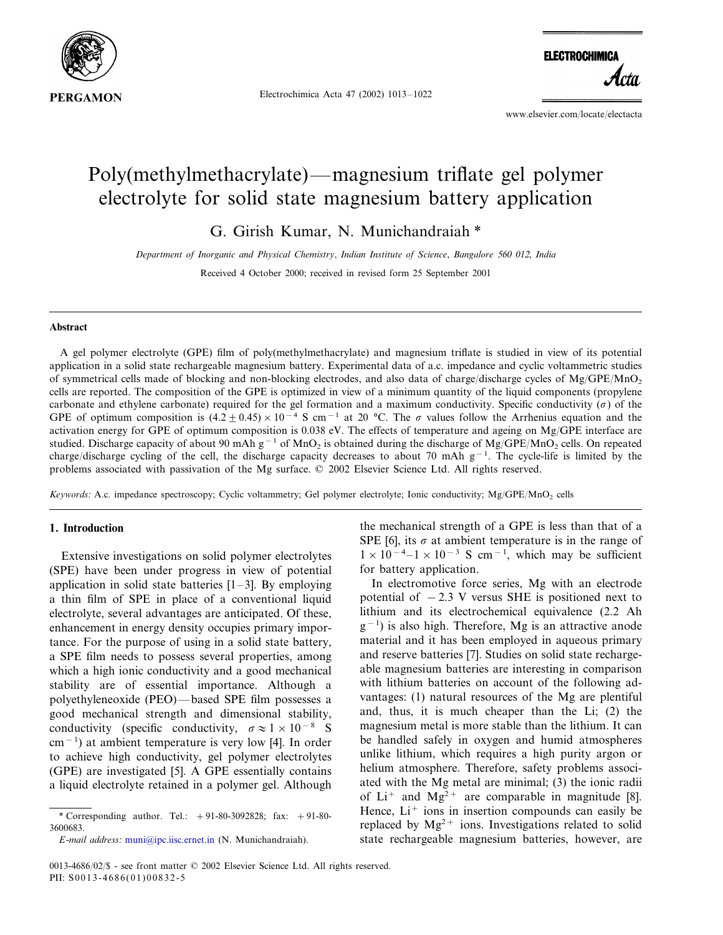

Electrochimica Acta 47 (2002) 1013–1022

**ELECTROCHIMICA** 

www.elsevier.com/locate/electacta

# Poly(methylmethacrylate)—magnesium triflate gel polymer electrolyte for solid state magnesium battery application

G. Girish Kumar, N. Munichandraiah \*

*Department of Inorganic and Physical Chemistry*, *Indian Institute of Science*, *Bangalore* 560 012, *India*

Received 4 October 2000; received in revised form 25 September 2001

# **Abstract**

A gel polymer electrolyte (GPE) film of poly(methylmethacrylate) and magnesium triflate is studied in view of its potential application in a solid state rechargeable magnesium battery. Experimental data of a.c. impedance and cyclic voltammetric studies of symmetrical cells made of blocking and non-blocking electrodes, and also data of charge/discharge cycles of  $Mg/GPE/MnO<sub>2</sub>$ cells are reported. The composition of the GPE is optimized in view of a minimum quantity of the liquid components (propylene carbonate and ethylene carbonate) required for the gel formation and a maximum conductivity. Specific conductivity  $(\sigma)$  of the GPE of optimum composition is  $(4.2\pm0.45)\times10^{-4}$  S cm<sup>-1</sup> at 20 °C. The  $\sigma$  values follow the Arrhenius equation and the activation energy for GPE of optimum composition is 0.038 eV. The effects of temperature and ageing on Mg/GPE interface are studied. Discharge capacity of about 90 mAh g<sup>-1</sup> of MnO<sub>2</sub> is obtained during the discharge of Mg/GPE/MnO<sub>2</sub> cells. On repeated charge/discharge cycling of the cell, the discharge capacity decreases to about 70 mAh  $g^{-1}$ . The cycle-life is limited by the problems associated with passivation of the Mg surface. © 2002 Elsevier Science Ltd. All rights reserved.

*Keywords*: A.c. impedance spectroscopy; Cyclic voltammetry; Gel polymer electrolyte; Ionic conductivity; Mg/GPE/MnO<sub>2</sub> cells

# **1. Introduction**

Extensive investigations on solid polymer electrolytes (SPE) have been under progress in view of potential application in solid state batteries  $[1-3]$ . By employing a thin film of SPE in place of a conventional liquid electrolyte, several advantages are anticipated. Of these, enhancement in energy density occupies primary importance. For the purpose of using in a solid state battery, a SPE film needs to possess several properties, among which a high ionic conductivity and a good mechanical stability are of essential importance. Although a polyethyleneoxide (PEO)—based SPE film possesses a good mechanical strength and dimensional stability, conductivity (specific conductivity,  $\sigma \approx 1 \times 10^{-8}$  S cm−<sup>1</sup> ) at ambient temperature is very low [4]. In order to achieve high conductivity, gel polymer electrolytes (GPE) are investigated [5]. A GPE essentially contains a liquid electrolyte retained in a polymer gel. Although the mechanical strength of a GPE is less than that of a SPE [6], its  $\sigma$  at ambient temperature is in the range of  $1 \times 10^{-4}$ -1 × 10<sup>-3</sup> S cm<sup>-1</sup>, which may be sufficient for battery application.

In electromotive force series, Mg with an electrode potential of  $-2.3$  V versus SHE is positioned next to lithium and its electrochemical equivalence (2.2 Ah g<sup>-1</sup>) is also high. Therefore, Mg is an attractive anode material and it has been employed in aqueous primary and reserve batteries [7]. Studies on solid state rechargeable magnesium batteries are interesting in comparison with lithium batteries on account of the following advantages: (1) natural resources of the Mg are plentiful and, thus, it is much cheaper than the Li; (2) the magnesium metal is more stable than the lithium. It can be handled safely in oxygen and humid atmospheres unlike lithium, which requires a high purity argon or helium atmosphere. Therefore, safety problems associated with the Mg metal are minimal; (3) the ionic radii of  $Li^+$  and  $Mg^2$ <sup>+</sup> are comparable in magnitude [8]. Hence,  $Li<sup>+</sup>$  ions in insertion compounds can easily be replaced by  $Mg^{2+}$  ions. Investigations related to solid state rechargeable magnesium batteries, however, are

<sup>\*</sup> Corresponding author. Tel.:  $+91-80-3092828$ ; fax:  $+91-80-$ 3600683.

*E*-*mail address*: [muni@ipc.iisc.ernet.in](mailto:muni@ipc.iisc.ernet.in) (N. Munichandraiah).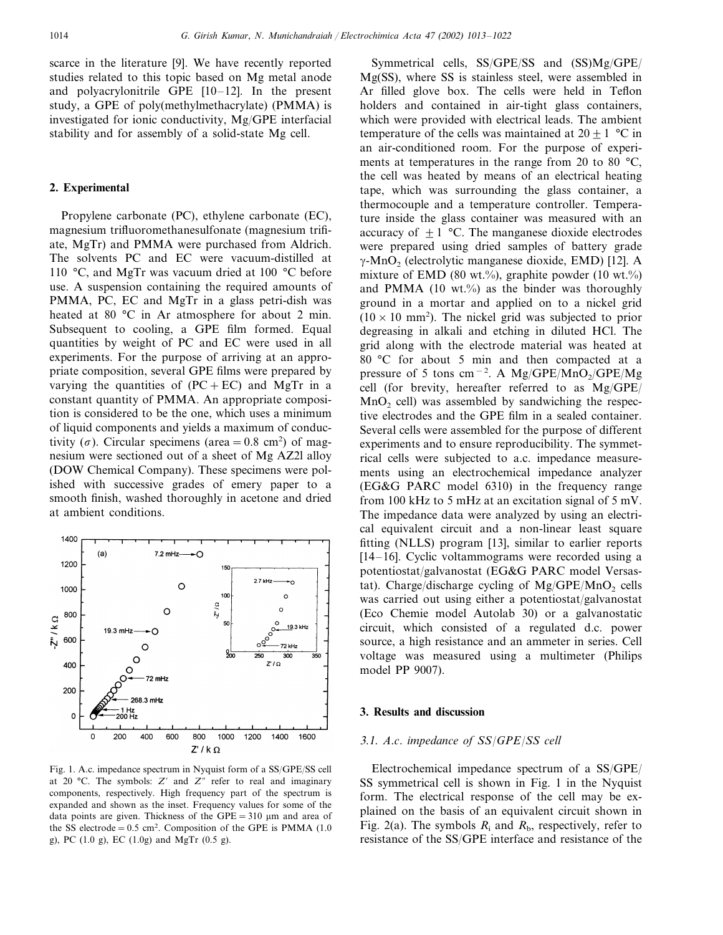scarce in the literature [9]. We have recently reported studies related to this topic based on Mg metal anode and polyacrylonitrile GPE [10–12]. In the present study, a GPE of poly(methylmethacrylate) (PMMA) is investigated for ionic conductivity, Mg/GPE interfacial stability and for assembly of a solid-state Mg cell.

# **2. Experimental**

Propylene carbonate (PC), ethylene carbonate (EC), magnesium trifluoromethanesulfonate (magnesium trifiate, MgTr) and PMMA were purchased from Aldrich. The solvents PC and EC were vacuum-distilled at 110 °C, and MgTr was vacuum dried at 100 °C before use. A suspension containing the required amounts of PMMA, PC, EC and MgTr in a glass petri-dish was heated at 80 °C in Ar atmosphere for about 2 min. Subsequent to cooling, a GPE film formed. Equal quantities by weight of PC and EC were used in all experiments. For the purpose of arriving at an appropriate composition, several GPE films were prepared by varying the quantities of  $(PC + EC)$  and MgTr in a constant quantity of PMMA. An appropriate composition is considered to be the one, which uses a minimum of liquid components and yields a maximum of conductivity ( $\sigma$ ). Circular specimens (area = 0.8 cm<sup>2</sup>) of magnesium were sectioned out of a sheet of Mg AZ2l alloy (DOW Chemical Company). These specimens were polished with successive grades of emery paper to a smooth finish, washed thoroughly in acetone and dried at ambient conditions.



Fig. 1. A.c. impedance spectrum in Nyquist form of a SS/GPE/SS cell at 20 °C. The symbols:  $Z'$  and  $Z''$  refer to real and imaginary components, respectively. High frequency part of the spectrum is expanded and shown as the inset. Frequency values for some of the data points are given. Thickness of the  $GPE = 310 \mu m$  and area of the SS electrode =  $0.5 \text{ cm}^2$ . Composition of the GPE is PMMA (1.0) g), PC (1.0 g), EC (1.0g) and MgTr (0.5 g).

Symmetrical cells, SS/GPE/SS and (SS)Mg/GPE/ Mg(SS), where SS is stainless steel, were assembled in Ar filled glove box. The cells were held in Teflon holders and contained in air-tight glass containers, which were provided with electrical leads. The ambient temperature of the cells was maintained at  $20 + 1$  °C in an air-conditioned room. For the purpose of experiments at temperatures in the range from 20 to 80 °C, the cell was heated by means of an electrical heating tape, which was surrounding the glass container, a thermocouple and a temperature controller. Temperature inside the glass container was measured with an accuracy of  $\pm 1$  °C. The manganese dioxide electrodes were prepared using dried samples of battery grade  $\gamma$ -MnO<sub>2</sub> (electrolytic manganese dioxide, EMD) [12]. A mixture of EMD (80 wt.%), graphite powder (10 wt.%) and PMMA  $(10 \text{ wt.})$ % as the binder was thoroughly ground in a mortar and applied on to a nickel grid  $(10 \times 10 \text{ mm}^2)$ . The nickel grid was subjected to prior degreasing in alkali and etching in diluted HCl. The grid along with the electrode material was heated at 80 °C for about 5 min and then compacted at a pressure of 5 tons cm<sup>-2</sup>. A Mg/GPE/MnO<sub>2</sub>/GPE/Mg cell (for brevity, hereafter referred to as Mg/GPE/  $MnO<sub>2</sub>$  cell) was assembled by sandwiching the respective electrodes and the GPE film in a sealed container. Several cells were assembled for the purpose of different experiments and to ensure reproducibility. The symmetrical cells were subjected to a.c. impedance measurements using an electrochemical impedance analyzer (EG&G PARC model 6310) in the frequency range from 100 kHz to 5 mHz at an excitation signal of 5 mV. The impedance data were analyzed by using an electrical equivalent circuit and a non-linear least square fitting (NLLS) program [13], similar to earlier reports [14–16]. Cyclic voltammograms were recorded using a potentiostat/galvanostat (EG&G PARC model Versastat). Charge/discharge cycling of  $Mg/GPE/MnO<sub>2</sub>$  cells was carried out using either a potentiostat/galvanostat (Eco Chemie model Autolab 30) or a galvanostatic circuit, which consisted of a regulated d.c. power source, a high resistance and an ammeter in series. Cell voltage was measured using a multimeter (Philips model PP 9007).

# **3. Results and discussion**

# <sup>3</sup>.1. *A*.*c*. *impedance of SS*/*GPE*/*SS cell*

Electrochemical impedance spectrum of a SS/GPE/ SS symmetrical cell is shown in Fig. 1 in the Nyquist form. The electrical response of the cell may be explained on the basis of an equivalent circuit shown in Fig. 2(a). The symbols  $R_i$  and  $R_b$ , respectively, refer to resistance of the SS/GPE interface and resistance of the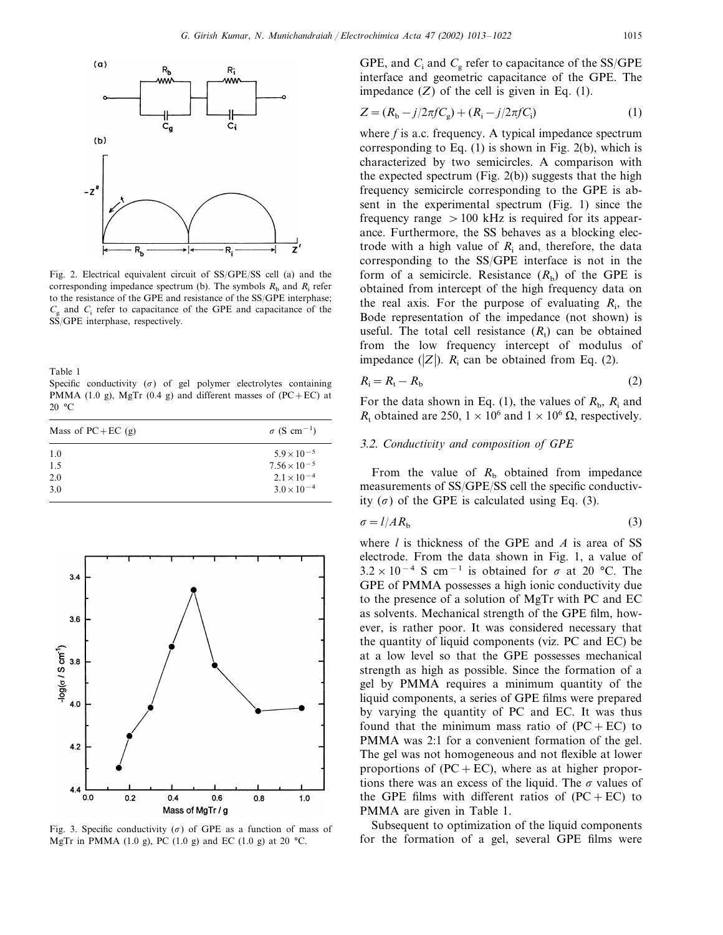



Fig. 2. Electrical equivalent circuit of SS/GPE/SS cell (a) and the corresponding impedance spectrum (b). The symbols  $R_b$  and  $R_i$  refer to the resistance of the GPE and resistance of the SS/GPE interphase;  $C_g$  and  $C_i$  refer to capacitance of the GPE and capacitance of the SS/GPE interphase, respectively.

Table 1

Specific conductivity  $(\sigma)$  of gel polymer electrolytes containing PMMA (1.0 g), MgTr (0.4 g) and different masses of (PC+EC) at 20 °C

| Mass of $PC+EC$ (g) | $\sigma$ (S cm <sup>-1</sup> ) |
|---------------------|--------------------------------|
| 1.0                 | $5.9 \times 10^{-5}$           |
| 1.5                 | $7.56 \times 10^{-5}$          |
| 2.0                 | $2.1 \times 10^{-4}$           |
| 3.0                 | $3.0 \times 10^{-4}$           |



Fig. 3. Specific conductivity ( $\sigma$ ) of GPE as a function of mass of MgTr in PMMA (1.0 g), PC (1.0 g) and EC (1.0 g) at 20 °C.

GPE, and  $C_i$  and  $C_g$  refer to capacitance of the SS/GPE interface and geometric capacitance of the GPE. The impedance  $(Z)$  of the cell is given in Eq.  $(1)$ .

$$
Z = (R_{b} - j/2\pi f C_{g}) + (R_{i} - j/2\pi f C_{i})
$$
\n(1)

where *f* is a.c. frequency. A typical impedance spectrum corresponding to Eq.  $(1)$  is shown in Fig.  $2(b)$ , which is characterized by two semicircles. A comparison with the expected spectrum (Fig. 2(b)) suggests that the high frequency semicircle corresponding to the GPE is absent in the experimental spectrum (Fig. 1) since the frequency range  $> 100$  kHz is required for its appearance. Furthermore, the SS behaves as a blocking electrode with a high value of  $R_i$  and, therefore, the data corresponding to the SS/GPE interface is not in the form of a semicircle. Resistance  $(R<sub>b</sub>)$  of the GPE is obtained from intercept of the high frequency data on the real axis. For the purpose of evaluating  $R_i$ , the Bode representation of the impedance (not shown) is useful. The total cell resistance  $(R_t)$  can be obtained from the low frequency intercept of modulus of impedance  $(|Z|)$ .  $R_i$  can be obtained from Eq. (2).

$$
R_{\rm i} = R_{\rm t} - R_{\rm b} \tag{2}
$$

For the data shown in Eq. (1), the values of  $R_{\rm b}$ ,  $R_{\rm i}$  and  $R_t$  obtained are 250,  $1 \times 10^6$  and  $1 \times 10^6$   $\Omega$ , respectively.

# 3.2. Conductivity and composition of GPE

From the value of  $R<sub>b</sub>$  obtained from impedance measurements of SS/GPE/SS cell the specific conductivity  $(\sigma)$  of the GPE is calculated using Eq. (3).

$$
\sigma = l / AR_{\rm b} \tag{3}
$$

where *l* is thickness of the GPE and *A* is area of SS electrode. From the data shown in Fig. 1, a value of  $3.2 \times 10^{-4}$  S cm<sup>-1</sup> is obtained for  $\sigma$  at 20 °C. The GPE of PMMA possesses a high ionic conductivity due to the presence of a solution of MgTr with PC and EC as solvents. Mechanical strength of the GPE film, however, is rather poor. It was considered necessary that the quantity of liquid components (viz. PC and EC) be at a low level so that the GPE possesses mechanical strength as high as possible. Since the formation of a gel by PMMA requires a minimum quantity of the liquid components, a series of GPE films were prepared by varying the quantity of PC and EC. It was thus found that the minimum mass ratio of  $(PC + EC)$  to PMMA was 2:1 for a convenient formation of the gel. The gel was not homogeneous and not flexible at lower proportions of  $(PC + EC)$ , where as at higher proportions there was an excess of the liquid. The  $\sigma$  values of the GPE films with different ratios of  $(PC + EC)$  to PMMA are given in Table 1.

Subsequent to optimization of the liquid components for the formation of a gel, several GPE films were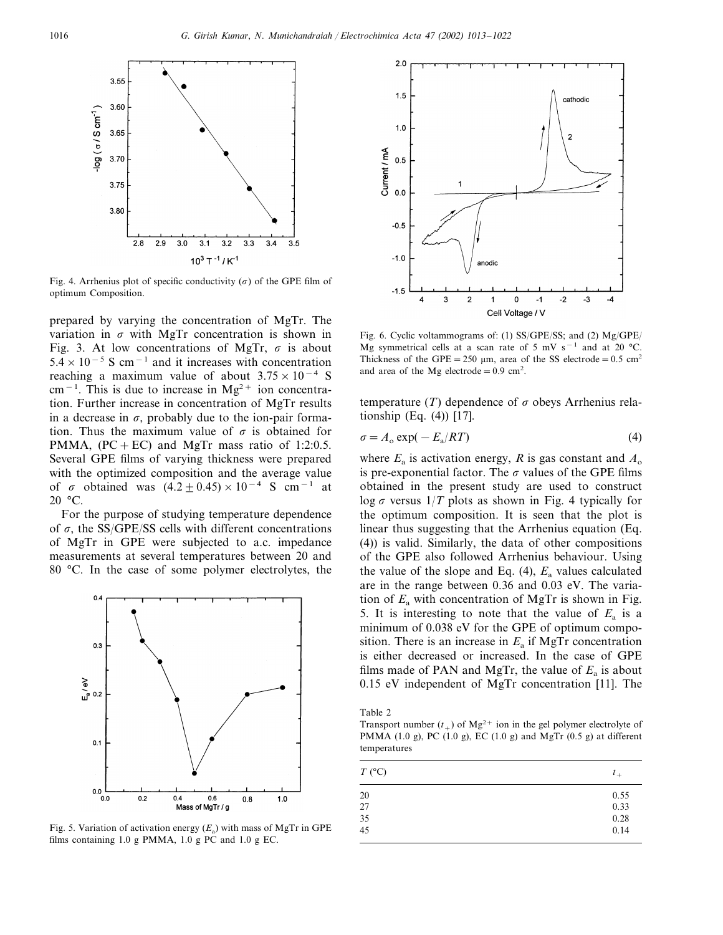

Fig. 4. Arrhenius plot of specific conductivity ( $\sigma$ ) of the GPE film of optimum Composition.

prepared by varying the concentration of MgTr. The variation in  $\sigma$  with MgTr concentration is shown in Fig. 3. At low concentrations of MgTr,  $\sigma$  is about  $5.4 \times 10^{-5}$  S cm<sup>-1</sup> and it increases with concentration reaching a maximum value of about  $3.75 \times 10^{-4}$  S cm<sup>-1</sup>. This is due to increase in Mg<sup>2+</sup> ion concentration. Further increase in concentration of MgTr results in a decrease in  $\sigma$ , probably due to the ion-pair formation. Thus the maximum value of  $\sigma$  is obtained for PMMA,  $(PC + EC)$  and MgTr mass ratio of 1:2:0.5. Several GPE films of varying thickness were prepared with the optimized composition and the average value of  $\sigma$  obtained was  $(4.2+0.45)\times10^{-4}$  S cm<sup>-1</sup> at 20 °C.

For the purpose of studying temperature dependence of  $\sigma$ , the SS/GPE/SS cells with different concentrations of MgTr in GPE were subjected to a.c. impedance measurements at several temperatures between 20 and 80 °C. In the case of some polymer electrolytes, the



Fig. 5. Variation of activation energy  $(E_a)$  with mass of MgTr in GPE films containing 1.0 g PMMA, 1.0 g PC and 1.0 g EC.



Fig. 6. Cyclic voltammograms of: (1) SS/GPE/SS; and (2) Mg/GPE/ Mg symmetrical cells at a scan rate of 5 mV s<sup>-1</sup> and at 20 °C. Thickness of the GPE = 250  $\mu$ m, area of the SS electrode = 0.5 cm<sup>2</sup> and area of the Mg electrode =  $0.9 \text{ cm}^2$ .

temperature (*T*) dependence of  $\sigma$  obeys Arrhenius relationship (Eq. (4)) [17].

$$
\sigma = A_o \exp(-E_a/RT) \tag{4}
$$

where  $E_a$  is activation energy, *R* is gas constant and  $A_0$ is pre-exponential factor. The  $\sigma$  values of the GPE films obtained in the present study are used to construct  $\log \sigma$  versus  $1/T$  plots as shown in Fig. 4 typically for the optimum composition. It is seen that the plot is linear thus suggesting that the Arrhenius equation (Eq. (4)) is valid. Similarly, the data of other compositions of the GPE also followed Arrhenius behaviour. Using the value of the slope and Eq.  $(4)$ ,  $E_a$  values calculated are in the range between 0.36 and 0.03 eV. The variation of  $E_a$  with concentration of MgTr is shown in Fig. 5. It is interesting to note that the value of  $E<sub>a</sub>$  is a minimum of 0.038 eV for the GPE of optimum composition. There is an increase in  $E_a$  if MgTr concentration is either decreased or increased. In the case of GPE films made of PAN and MgTr, the value of  $E_a$  is about 0.15 eV independent of MgTr concentration [11]. The

Table 2

Transport number  $(t_+)$  of Mg<sup>2+</sup> ion in the gel polymer electrolyte of PMMA (1.0 g), PC (1.0 g), EC (1.0 g) and MgTr (0.5 g) at different temperatures

| $T$ (°C)        | $l_{+}$ |  |  |
|-----------------|---------|--|--|
|                 | 0.55    |  |  |
| $\frac{20}{27}$ | 0.33    |  |  |
|                 | 0.28    |  |  |
| $\frac{35}{45}$ | 0.14    |  |  |
|                 |         |  |  |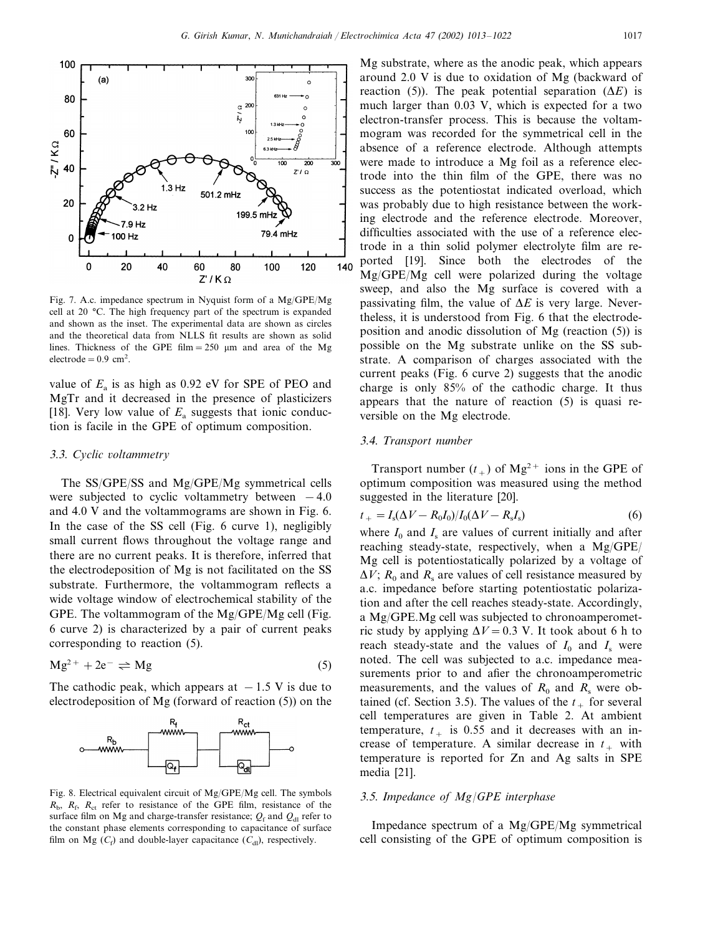

Fig. 7. A.c. impedance spectrum in Nyquist form of a Mg/GPE/Mg cell at 20 °C. The high frequency part of the spectrum is expanded and shown as the inset. The experimental data are shown as circles and the theoretical data from NLLS fit results are shown as solid lines. Thickness of the GPE film = 250  $\mu$ m and area of the Mg  $electrode = 0.9$  cm<sup>2</sup>.

value of  $E_a$  is as high as 0.92 eV for SPE of PEO and MgTr and it decreased in the presence of plasticizers [18]. Very low value of  $E_a$  suggests that ionic conduction is facile in the GPE of optimum composition.

# <sup>3</sup>.3. *Cyclic* -*oltammetry*

The SS/GPE/SS and Mg/GPE/Mg symmetrical cells were subjected to cyclic voltammetry between  $-4.0$ and 4.0 V and the voltammograms are shown in Fig. 6. In the case of the SS cell (Fig. 6 curve 1), negligibly small current flows throughout the voltage range and there are no current peaks. It is therefore, inferred that the electrodeposition of Mg is not facilitated on the SS substrate. Furthermore, the voltammogram reflects a wide voltage window of electrochemical stability of the GPE. The voltammogram of the Mg/GPE/Mg cell (Fig. 6 curve 2) is characterized by a pair of current peaks corresponding to reaction (5).

$$
Mg^{2+} + 2e^- \rightleftharpoons Mg \tag{5}
$$

The cathodic peak, which appears at  $-1.5$  V is due to electrodeposition of Mg (forward of reaction (5)) on the



Fig. 8. Electrical equivalent circuit of Mg/GPE/Mg cell. The symbols  $R_{\rm b}$ ,  $R_{\rm c}$ ,  $R_{\rm ct}$  refer to resistance of the GPE film, resistance of the surface film on Mg and charge-transfer resistance;  $Q_f$  and  $Q_{d1}$  refer to the constant phase elements corresponding to capacitance of surface film on Mg  $(C_f)$  and double-layer capacitance  $(C_{\rm dl})$ , respectively.

Mg substrate, where as the anodic peak, which appears around 2.0 V is due to oxidation of Mg (backward of reaction (5)). The peak potential separation  $(\Delta E)$  is much larger than 0.03 V, which is expected for a two electron-transfer process. This is because the voltammogram was recorded for the symmetrical cell in the absence of a reference electrode. Although attempts were made to introduce a Mg foil as a reference electrode into the thin film of the GPE, there was no success as the potentiostat indicated overload, which was probably due to high resistance between the working electrode and the reference electrode. Moreover, difficulties associated with the use of a reference electrode in a thin solid polymer electrolyte film are reported [19]. Since both the electrodes of the Mg/GPE/Mg cell were polarized during the voltage sweep, and also the Mg surface is covered with a passivating film, the value of  $\Delta E$  is very large. Nevertheless, it is understood from Fig. 6 that the electrodeposition and anodic dissolution of Mg (reaction (5)) is possible on the Mg substrate unlike on the SS substrate. A comparison of charges associated with the current peaks (Fig. 6 curve 2) suggests that the anodic charge is only 85% of the cathodic charge. It thus appears that the nature of reaction (5) is quasi reversible on the Mg electrode.

### 3.4. *Transport number*

Transport number  $(t_+)$  of Mg<sup>2+</sup> ions in the GPE of optimum composition was measured using the method suggested in the literature [20].

$$
t_{+} = I_{s}(\Delta V - R_{0}I_{0})/I_{0}(\Delta V - R_{s}I_{s})
$$
\n(6)

where  $I_0$  and  $I_s$  are values of current initially and after reaching steady-state, respectively, when a Mg/GPE/ Mg cell is potentiostatically polarized by a voltage of  $\Delta V$ ;  $R_0$  and  $R_s$  are values of cell resistance measured by a.c. impedance before starting potentiostatic polarization and after the cell reaches steady-state. Accordingly, a Mg/GPE.Mg cell was subjected to chronoamperometric study by applying  $\Delta V = 0.3$  V. It took about 6 h to reach steady-state and the values of  $I_0$  and  $I_s$  were noted. The cell was subjected to a.c. impedance measurements prior to and afier the chronoamperometric measurements, and the values of  $R_0$  and  $R_s$  were obtained (cf. Section 3.5). The values of the  $t_{+}$  for several cell temperatures are given in Table 2. At ambient temperature,  $t_{+}$  is 0.55 and it decreases with an increase of temperature. A similar decrease in  $t_{+}$  with temperature is reported for Zn and Ag salts in SPE media [21].

# <sup>3</sup>.5. *Impedance of Mg*/*GPE interphase*

Impedance spectrum of a Mg/GPE/Mg symmetrical cell consisting of the GPE of optimum composition is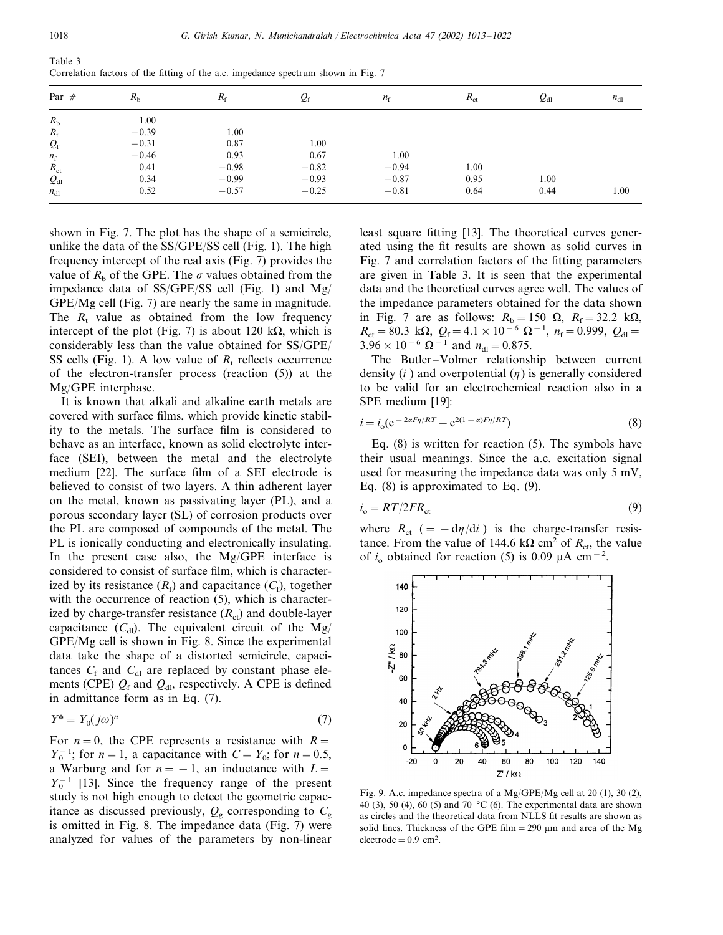Table 3 Correlation factors of the fitting of the a.c. impedance spectrum shown in Fig. 7

| Par $#$         | $R_{\rm b}$ | $R_{\rm f}$ | $Q_{\rm f}$ | $n_{\rm f}$ | $R_{\rm ct}$ | $Q_{\rm dl}$ | $n_{\rm dl}$ |
|-----------------|-------------|-------------|-------------|-------------|--------------|--------------|--------------|
| $R_{\rm b}$     | 1.00        |             |             |             |              |              |              |
| $R_{\rm f}$     | $-0.39$     | 1.00        |             |             |              |              |              |
| $Q_{\rm f}$     | $-0.31$     | 0.87        | 1.00        |             |              |              |              |
| $n_{\rm f}$     | $-0.46$     | 0.93        | 0.67        | 1.00        |              |              |              |
| $R_{\rm ct}$    | 0.41        | $-0.98$     | $-0.82$     | $-0.94$     | 1.00         |              |              |
| $Q_{\rm dl}$    | 0.34        | $-0.99$     | $-0.93$     | $-0.87$     | 0.95         | 1.00         |              |
| $n_{\text{dl}}$ | 0.52        | $-0.57$     | $-0.25$     | $-0.81$     | 0.64         | 0.44         | 1.00         |

shown in Fig. 7. The plot has the shape of a semicircle, unlike the data of the SS/GPE/SS cell (Fig. 1). The high frequency intercept of the real axis (Fig. 7) provides the value of  $R_b$  of the GPE. The  $\sigma$  values obtained from the impedance data of SS/GPE/SS cell (Fig. 1) and Mg/ GPE/Mg cell (Fig. 7) are nearly the same in magnitude. The  $R_t$  value as obtained from the low frequency intercept of the plot (Fig. 7) is about 120 k $\Omega$ , which is considerably less than the value obtained for SS/GPE/ SS cells (Fig. 1). A low value of  $R_t$  reflects occurrence of the electron-transfer process (reaction (5)) at the Mg/GPE interphase.

It is known that alkali and alkaline earth metals are covered with surface films, which provide kinetic stability to the metals. The surface film is considered to behave as an interface, known as solid electrolyte interface (SEI), between the metal and the electrolyte medium [22]. The surface film of a SEI electrode is believed to consist of two layers. A thin adherent layer on the metal, known as passivating layer (PL), and a porous secondary layer (SL) of corrosion products over the PL are composed of compounds of the metal. The PL is ionically conducting and electronically insulating. In the present case also, the Mg/GPE interface is considered to consist of surface film, which is characterized by its resistance  $(R_f)$  and capacitance  $(C_f)$ , together with the occurrence of reaction  $(5)$ , which is characterized by charge-transfer resistance  $(R<sub>ct</sub>)$  and double-layer capacitance  $(C_{d})$ . The equivalent circuit of the Mg/ GPE/Mg cell is shown in Fig. 8. Since the experimental data take the shape of a distorted semicircle, capacitances  $C_f$  and  $C_{d}$  are replaced by constant phase elements (CPE)  $Q_f$  and  $Q_{di}$ , respectively. A CPE is defined in admittance form as in Eq. (7).

$$
Y^* = Y_0(j\omega)^n \tag{7}
$$

For  $n=0$ , the CPE represents a resistance with  $R=$ *Y*<sub>0</sub><sup>-1</sup>; for *n* = 1, a capacitance with *C* = *Y*<sub>0</sub>; for *n* = 0.5, a Warburg and for  $n = -1$ , an inductance with  $L =$  $Y_0^{-1}$  [13]. Since the frequency range of the present study is not high enough to detect the geometric capacitance as discussed previously,  $Q_{\rm g}$  corresponding to  $C_{\rm g}$ is omitted in Fig. 8. The impedance data (Fig. 7) were analyzed for values of the parameters by non-linear least square fitting [13]. The theoretical curves generated using the fit results are shown as solid curves in Fig. 7 and correlation factors of the fitting parameters are given in Table 3. It is seen that the experimental data and the theoretical curves agree well. The values of the impedance parameters obtained for the data shown in Fig. 7 are as follows:  $R_b = 150 \Omega$ ,  $R_f = 32.2 \text{ k}\Omega$ ,  $R_{\text{ct}}=80.3 \text{ k}\Omega$ ,  $Q_{\text{f}}=4.1\times10^{-6} \Omega^{-1}$ ,  $n_{\text{f}}=0.999$ ,  $Q_{\text{dl}}=$  $3.96 \times 10^{-6} \Omega^{-1}$  and  $n_{\text{dl}}=0.875$ .

The Butler–Volmer relationship between current density  $(i)$  and overpotential  $(\eta)$  is generally considered to be valid for an electrochemical reaction also in a SPE medium [19]:

$$
i = io (e-2\alpha F\eta/RT - e2(1-\alpha)F\eta/RT)
$$
\n(8)

Eq. (8) is written for reaction (5). The symbols have their usual meanings. Since the a.c. excitation signal used for measuring the impedance data was only 5 mV, Eq. (8) is approximated to Eq. (9).

$$
i_{\rm o} = RT/2FR_{\rm ct} \tag{9}
$$

where  $R_{\text{ct}}$  (=  $-\frac{d\eta}{di}$ ) is the charge-transfer resistance. From the value of 144.6 k $\Omega$  cm<sup>2</sup> of  $R_{\rm ct}$ , the value of  $i_0$  obtained for reaction (5) is 0.09  $\mu$ A cm<sup>-2</sup>.



Fig. 9. A.c. impedance spectra of a Mg/GPE/Mg cell at 20 (1), 30 (2), 40 (3), 50 (4), 60 (5) and 70  $^{\circ}$ C (6). The experimental data are shown as circles and the theoretical data from NLLS fit results are shown as solid lines. Thickness of the GPE film  $= 290 \mu m$  and area of the Mg  $electrode = 0.9$  cm<sup>2</sup>.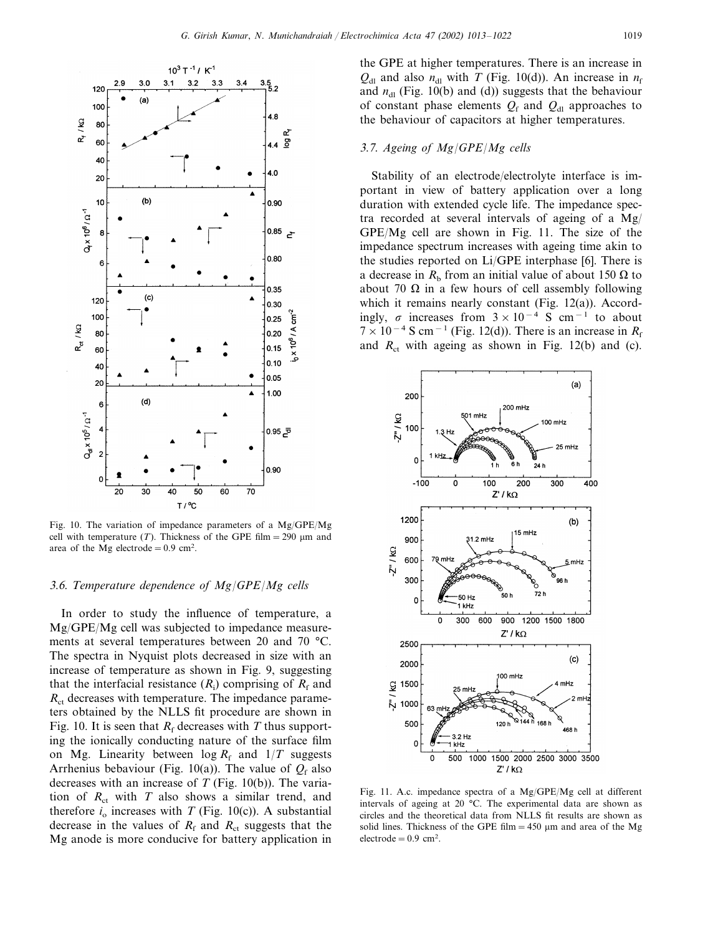

Fig. 10. The variation of impedance parameters of a Mg/GPE/Mg cell with temperature  $(T)$ . Thickness of the GPE film = 290  $\mu$ m and area of the Mg electrode =  $0.9 \text{ cm}^2$ .

# <sup>3</sup>.6. *Temperature dependence of Mg*/*GPE*/*Mg cells*

In order to study the influence of temperature, a Mg/GPE/Mg cell was subjected to impedance measurements at several temperatures between 20 and 70 °C. The spectra in Nyquist plots decreased in size with an increase of temperature as shown in Fig. 9, suggesting that the interfacial resistance  $(R_i)$  comprising of  $R_f$  and  $R<sub>ct</sub>$  decreases with temperature. The impedance parameters obtained by the NLLS fit procedure are shown in Fig. 10. It is seen that  $R_f$  decreases with *T* thus supporting the ionically conducting nature of the surface film on Mg. Linearity between  $\log R_f$  and  $1/T$  suggests Arrhenius bebaviour (Fig. 10(a)). The value of  $Q_f$  also decreases with an increase of *T* (Fig. 10(b)). The variation of  $R_{\rm ct}$  with  $T$  also shows a similar trend, and therefore  $i_0$  increases with *T* (Fig. 10(c)). A substantial decrease in the values of  $R_f$  and  $R_{ct}$  suggests that the Mg anode is more conducive for battery application in

the GPE at higher temperatures. There is an increase in  $Q_{\rm dl}$  and also  $n_{\rm dl}$  with *T* (Fig. 10(d)). An increase in  $n_{\rm f}$ and  $n_{\rm dl}$  (Fig. 10(b) and (d)) suggests that the behaviour of constant phase elements  $Q_f$  and  $Q_{d}$  approaches to the behaviour of capacitors at higher temperatures.

# <sup>3</sup>.7. *Ageing of Mg*/*GPE*/*Mg cells*

Stability of an electrode/electrolyte interface is important in view of battery application over a long duration with extended cycle life. The impedance spectra recorded at several intervals of ageing of a Mg/ GPE/Mg cell are shown in Fig. 11. The size of the impedance spectrum increases with ageing time akin to the studies reported on Li/GPE interphase [6]. There is a decrease in  $R_b$  from an initial value of about 150  $\Omega$  to about 70  $\Omega$  in a few hours of cell assembly following which it remains nearly constant (Fig. 12(a)). Accordingly,  $\sigma$  increases from  $3 \times 10^{-4}$  S cm<sup>-1</sup> to about  $7 \times 10^{-4}$  S cm<sup>-1</sup> (Fig. 12(d)). There is an increase in  $R_f$ and  $R<sub>ct</sub>$  with ageing as shown in Fig. 12(b) and (c).



Fig. 11. A.c. impedance spectra of a Mg/GPE/Mg cell at different intervals of ageing at 20 °C. The experimental data are shown as circles and the theoretical data from NLLS fit results are shown as solid lines. Thickness of the GPE film  $= 450 \mu m$  and area of the Mg  $electrode = 0.9$  cm<sup>2</sup>.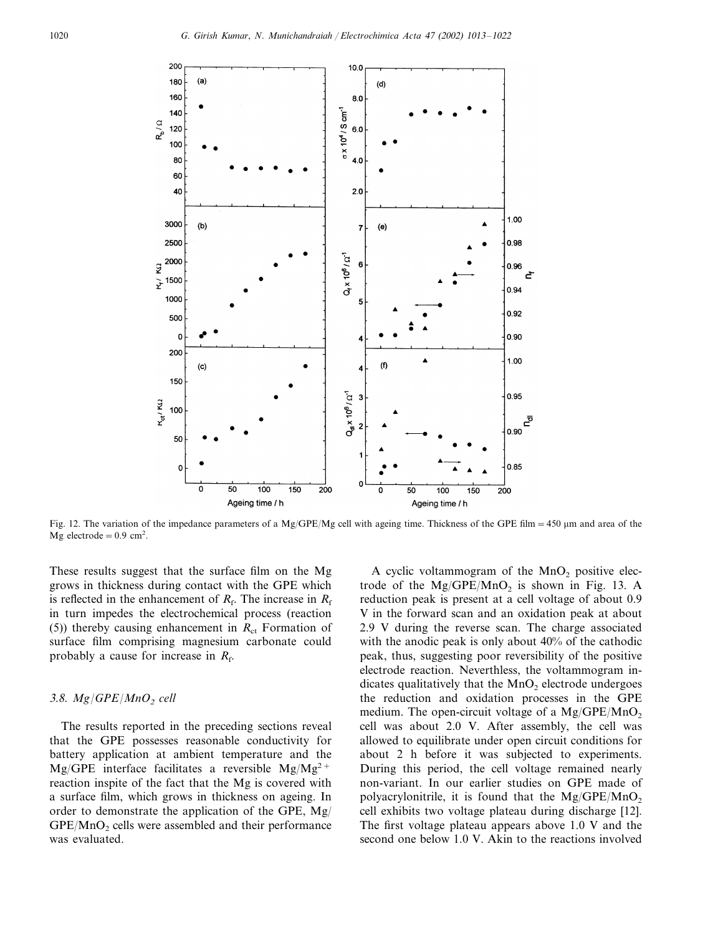

Fig. 12. The variation of the impedance parameters of a Mg/GPE/Mg cell with ageing time. Thickness of the GPE film = 450 µm and area of the Mg electrode =  $0.9 \text{ cm}^2$ .

These results suggest that the surface film on the Mg grows in thickness during contact with the GPE which is reflected in the enhancement of  $R_f$ . The increase in  $R_f$ in turn impedes the electrochemical process (reaction (5)) thereby causing enhancement in  $R<sub>ct</sub>$  Formation of surface film comprising magnesium carbonate could probably a cause for increase in  $R_f$ .

#### 3.8.  $Mg/GPE/MnO<sub>2</sub>$  *cell*

The results reported in the preceding sections reveal that the GPE possesses reasonable conductivity for battery application at ambient temperature and the Mg/GPE interface facilitates a reversible Mg/Mg<sup>2+</sup> reaction inspite of the fact that the Mg is covered with a surface film, which grows in thickness on ageing. In order to demonstrate the application of the GPE, Mg/  $GPE/MnO<sub>2</sub>$  cells were assembled and their performance was evaluated.

A cyclic voltammogram of the  $MnO<sub>2</sub>$  positive electrode of the  $Mg/GPE/MnO<sub>2</sub>$  is shown in Fig. 13. A reduction peak is present at a cell voltage of about 0.9 V in the forward scan and an oxidation peak at about 2.9 V during the reverse scan. The charge associated with the anodic peak is only about 40% of the cathodic peak, thus, suggesting poor reversibility of the positive electrode reaction. Neverthless, the voltammogram indicates qualitatively that the  $MnO<sub>2</sub>$  electrode undergoes the reduction and oxidation processes in the GPE medium. The open-circuit voltage of a  $Mg/GPE/MnO<sub>2</sub>$ cell was about 2.0 V. After assembly, the cell was allowed to equilibrate under open circuit conditions for about 2 h before it was subjected to experiments. During this period, the cell voltage remained nearly non-variant. In our earlier studies on GPE made of polyacrylonitrile, it is found that the  $Mg/GPE/MnO<sub>2</sub>$ cell exhibits two voltage plateau during discharge [12]. The first voltage plateau appears above 1.0 V and the second one below 1.0 V. Akin to the reactions involved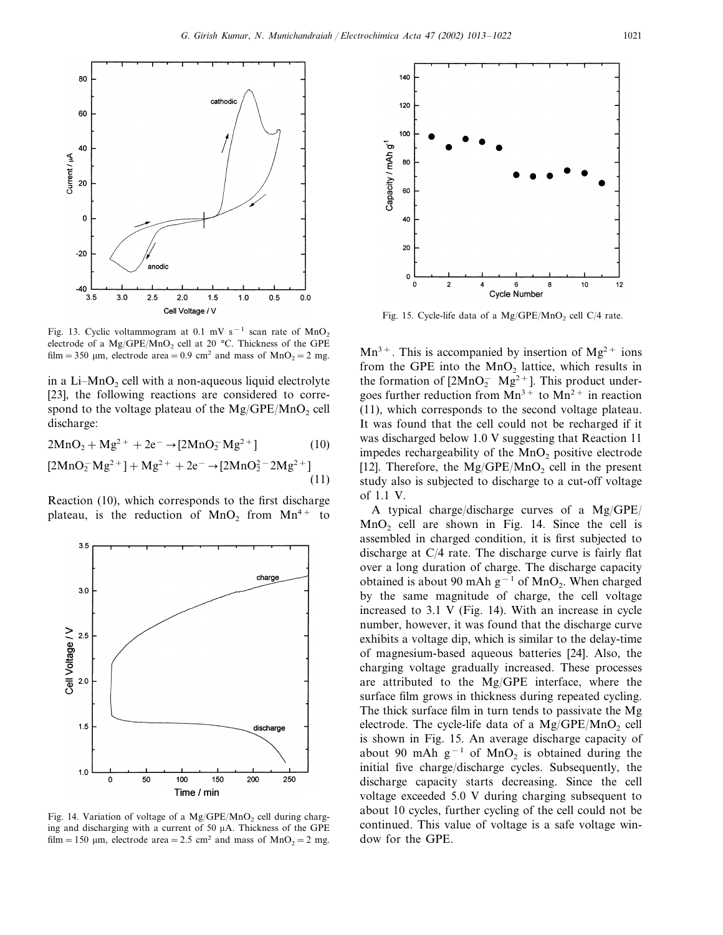

Fig. 13. Cyclic voltammogram at 0.1 mV s<sup>-1</sup> scan rate of MnO<sub>2</sub> electrode of a Mg/GPE/MnO<sub>2</sub> cell at 20 °C. Thickness of the GPE film = 350  $\mu$ m, electrode area = 0.9 cm<sup>2</sup> and mass of MnO<sub>2</sub> = 2 mg.

in a Li- $MnO<sub>2</sub>$  cell with a non-aqueous liquid electrolyte [23], the following reactions are considered to correspond to the voltage plateau of the  $Mg/GPE/MnO<sub>2</sub>$  cell discharge:

$$
2MnO2 + Mg2+ + 2e- \rightarrow [2MnO2-Mg2+] \qquad (10)
$$

$$
[2MnO2-Mg2+] + Mg2+ + 2e- \rightarrow [2MnO22 - 2Mg2+]
$$
\n(11)

Reaction (10), which corresponds to the first discharge plateau, is the reduction of  $MnO<sub>2</sub>$  from  $Mn<sup>4+</sup>$  to



Fig. 14. Variation of voltage of a  $Mg/GPE/MnO<sub>2</sub>$  cell during charging and discharging with a current of 50 µA. Thickness of the GPE film = 150  $\mu$ m, electrode area = 2.5 cm<sup>2</sup> and mass of MnO<sub>2</sub> = 2 mg.



Fig. 15. Cycle-life data of a  $Mg/GPE/MnO<sub>2</sub>$  cell C/4 rate.

 $Mn^{3+}$ . This is accompanied by insertion of  $Mg^{2+}$  ions from the GPE into the  $MnO<sub>2</sub>$  lattice, which results in the formation of  $[2MnO<sub>2</sub><sup>-</sup> Mg<sup>2+</sup>]$ . This product undergoes further reduction from  $Mn^{3+}$  to  $Mn^{2+}$  in reaction (11), which corresponds to the second voltage plateau. It was found that the cell could not be recharged if it was discharged below 1.0 V suggesting that Reaction 11 impedes rechargeability of the  $MnO<sub>2</sub>$  positive electrode [12]. Therefore, the  $Mg/GPE/MnO<sub>2</sub>$  cell in the present study also is subjected to discharge to a cut-off voltage of 1.1 V.

A typical charge/discharge curves of a Mg/GPE/  $MnO<sub>2</sub>$  cell are shown in Fig. 14. Since the cell is assembled in charged condition, it is first subjected to discharge at C/4 rate. The discharge curve is fairly flat over a long duration of charge. The discharge capacity obtained is about 90 mAh  $g^{-1}$  of MnO<sub>2</sub>. When charged by the same magnitude of charge, the cell voltage increased to 3.1 V (Fig. 14). With an increase in cycle number, however, it was found that the discharge curve exhibits a voltage dip, which is similar to the delay-time of magnesium-based aqueous batteries [24]. Also, the charging voltage gradually increased. These processes are attributed to the Mg/GPE interface, where the surface film grows in thickness during repeated cycling. The thick surface film in turn tends to passivate the Mg electrode. The cycle-life data of a  $Mg/GPE/MnO<sub>2</sub>$  cell is shown in Fig. 15. An average discharge capacity of about 90 mAh  $g^{-1}$  of MnO<sub>2</sub> is obtained during the initial five charge/discharge cycles. Subsequently, the discharge capacity starts decreasing. Since the cell voltage exceeded 5.0 V during charging subsequent to about 10 cycles, further cycling of the cell could not be continued. This value of voltage is a safe voltage window for the GPE.